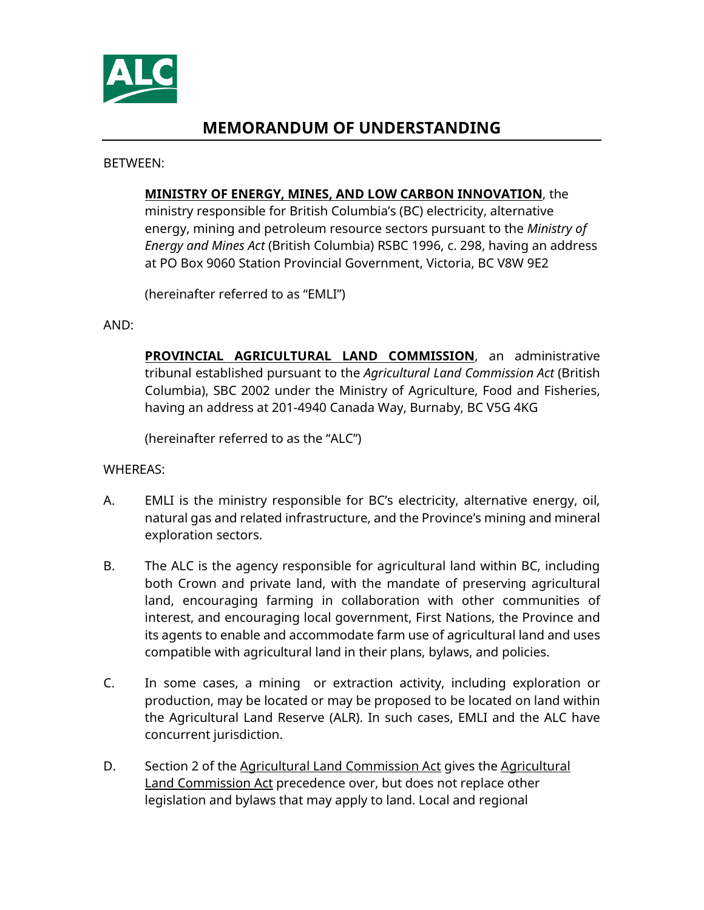

# **MEMORANDUM OF UNDERSTANDING**

BETWEEN:

#### **MINISTRY OF ENERGY, MINES, AND LOW CARBON INNOVATION**, the

ministry responsible for British Columbia's (BC) electricity, alternative energy, mining and petroleum resource sectors pursuant to the *Ministry of Energy and Mines Act* (British Columbia) RSBC 1996, c. 298, having an address at PO Box 9060 Station Provincial Government, Victoria, BC V8W 9E2

(hereinafter referred to as "EMLI")

AND:

**PROVINCIAL AGRICULTURAL LAND COMMISSION**, an administrative tribunal established pursuant to the *Agricultural Land Commission Act* (British Columbia), SBC 2002 under the Ministry of Agriculture, Food and Fisheries, having an address at 201-4940 Canada Way, Burnaby, BC V5G 4KG

(hereinafter referred to as the "ALC")

WHEREAS:

- A. EMLI is the ministry responsible for BC's electricity, alternative energy, oil, natural gas and related infrastructure, and the Province's mining and mineral exploration sectors.
- B. The ALC is the agency responsible for agricultural land within BC, including both Crown and private land, with the mandate of preserving agricultural land, encouraging farming in collaboration with other communities of interest, and encouraging local government, First Nations, the Province and its agents to enable and accommodate farm use of agricultural land and uses compatible with agricultural land in their plans, bylaws, and policies.
- C. In some cases, a mining or extraction activity, including exploration or production, may be located or may be proposed to be located on land within the Agricultural Land Reserve (ALR). In such cases, EMLI and the ALC have concurrent jurisdiction.
- D. Section 2 of the Agricultural Land Commission Act gives the Agricultural Land Commission Act precedence over, but does not replace other legislation and bylaws that may apply to land. Local and regional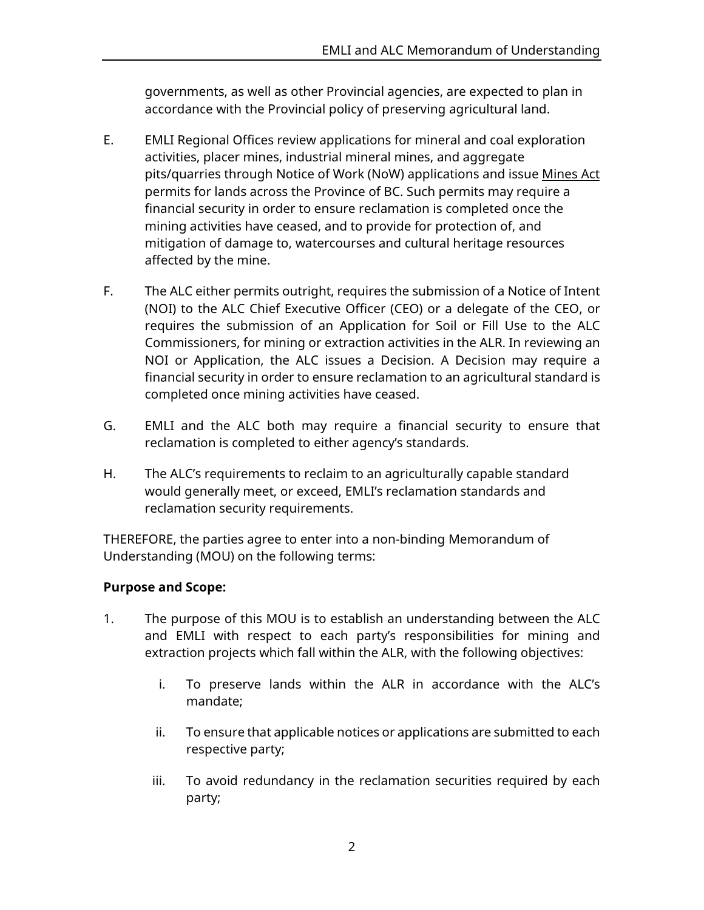governments, as well as other Provincial agencies, are expected to plan in accordance with the Provincial policy of preserving agricultural land.

- E. EMLI Regional Offices review applications for mineral and coal exploration activities, placer mines, industrial mineral mines, and aggregate pits/quarries through Notice of Work (NoW) applications and issue Mines Act permits for lands across the Province of BC. Such permits may require a financial security in order to ensure reclamation is completed once the mining activities have ceased, and to provide for protection of, and mitigation of damage to, watercourses and cultural heritage resources affected by the mine.
- F. The ALC either permits outright, requires the submission of a Notice of Intent (NOI) to the ALC Chief Executive Officer (CEO) or a delegate of the CEO, or requires the submission of an Application for Soil or Fill Use to the ALC Commissioners, for mining or extraction activities in the ALR. In reviewing an NOI or Application, the ALC issues a Decision. A Decision may require a financial security in order to ensure reclamation to an agricultural standard is completed once mining activities have ceased.
- G. EMLI and the ALC both may require a financial security to ensure that reclamation is completed to either agency's standards.
- H. The ALC's requirements to reclaim to an agriculturally capable standard would generally meet, or exceed, EMLI's reclamation standards and reclamation security requirements.

THEREFORE, the parties agree to enter into a non-binding Memorandum of Understanding (MOU) on the following terms:

### **Purpose and Scope:**

- 1. The purpose of this MOU is to establish an understanding between the ALC and EMLI with respect to each party's responsibilities for mining and extraction projects which fall within the ALR, with the following objectives:
	- i. To preserve lands within the ALR in accordance with the ALC's mandate;
	- ii. To ensure that applicable notices or applications are submitted to each respective party;
	- iii. To avoid redundancy in the reclamation securities required by each party;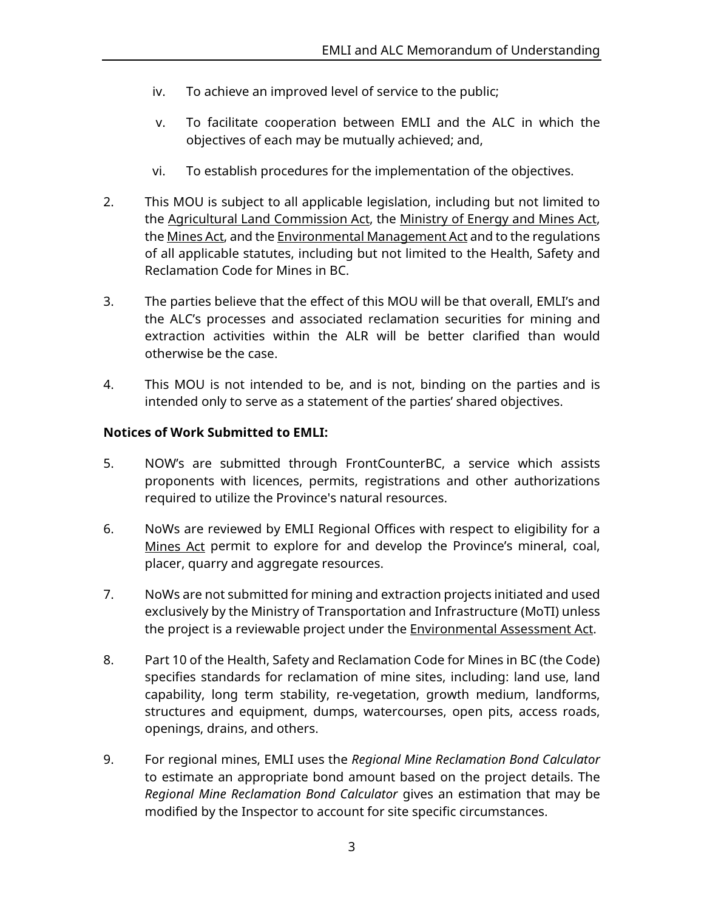- iv. To achieve an improved level of service to the public;
- v. To facilitate cooperation between EMLI and the ALC in which the objectives of each may be mutually achieved; and,
- vi. To establish procedures for the implementation of the objectives.
- 2. This MOU is subject to all applicable legislation, including but not limited to the Agricultural Land Commission Act, the Ministry of Energy and Mines Act, the Mines Act, and the Environmental Management Act and to the regulations of all applicable statutes, including but not limited to the Health, Safety and Reclamation Code for Mines in BC.
- 3. The parties believe that the effect of this MOU will be that overall, EMLI's and the ALC's processes and associated reclamation securities for mining and extraction activities within the ALR will be better clarified than would otherwise be the case.
- 4. This MOU is not intended to be, and is not, binding on the parties and is intended only to serve as a statement of the parties' shared objectives.

### **Notices of Work Submitted to EMLI:**

- 5. NOW's are submitted through FrontCounterBC, a service which assists proponents with licences, permits, registrations and other authorizations required to utilize the Province's natural resources.
- 6. NoWs are reviewed by EMLI Regional Offices with respect to eligibility for a Mines Act permit to explore for and develop the Province's mineral, coal, placer, quarry and aggregate resources.
- 7. NoWs are not submitted for mining and extraction projects initiated and used exclusively by the Ministry of Transportation and Infrastructure (MoTI) unless the project is a reviewable project under the **Environmental Assessment Act.**
- 8. Part 10 of the Health, Safety and Reclamation Code for Mines in BC (the Code) specifies standards for reclamation of mine sites, including: land use, land capability, long term stability, re-vegetation, growth medium, landforms, structures and equipment, dumps, watercourses, open pits, access roads, openings, drains, and others.
- 9. For regional mines, EMLI uses the *Regional Mine Reclamation Bond Calculator* to estimate an appropriate bond amount based on the project details. The *Regional Mine Reclamation Bond Calculator* gives an estimation that may be modified by the Inspector to account for site specific circumstances.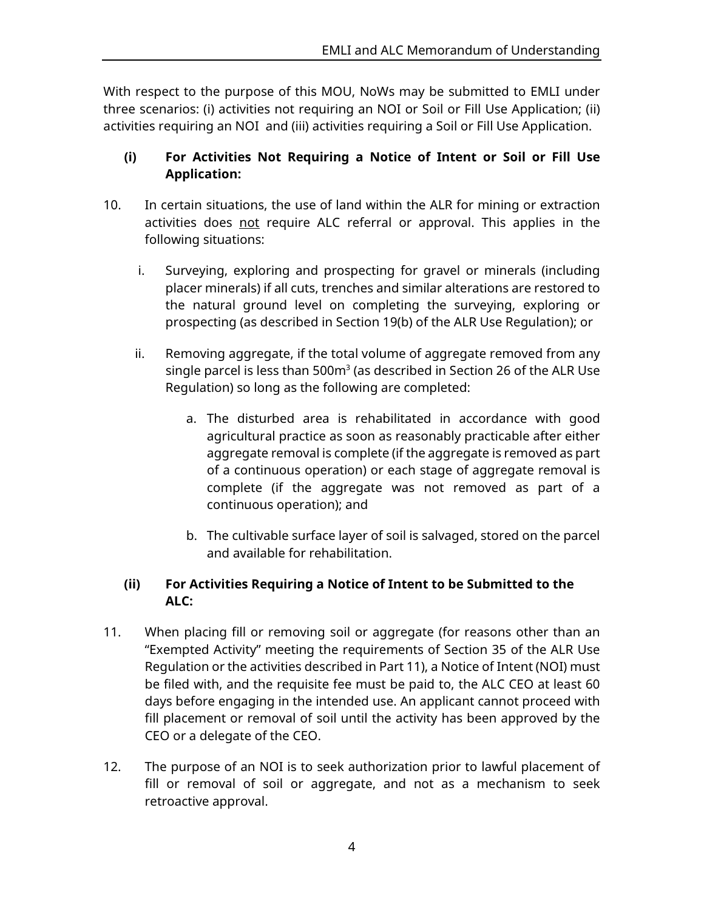With respect to the purpose of this MOU, NoWs may be submitted to EMLI under three scenarios: (i) activities not requiring an NOI or Soil or Fill Use Application; (ii) activities requiring an NOI and (iii) activities requiring a Soil or Fill Use Application.

### **(i) For Activities Not Requiring a Notice of Intent or Soil or Fill Use Application:**

- 10. In certain situations, the use of land within the ALR for mining or extraction activities does not require ALC referral or approval. This applies in the following situations:
	- i. Surveying, exploring and prospecting for gravel or minerals (including placer minerals) if all cuts, trenches and similar alterations are restored to the natural ground level on completing the surveying, exploring or prospecting (as described in Section 19(b) of the ALR Use Regulation); or
	- ii. Removing aggregate, if the total volume of aggregate removed from any single parcel is less than  $500m<sup>3</sup>$  (as described in Section 26 of the ALR Use Regulation) so long as the following are completed:
		- a. The disturbed area is rehabilitated in accordance with good agricultural practice as soon as reasonably practicable after either aggregate removal is complete (if the aggregate is removed as part of a continuous operation) or each stage of aggregate removal is complete (if the aggregate was not removed as part of a continuous operation); and
		- b. The cultivable surface layer of soil is salvaged, stored on the parcel and available for rehabilitation.

## **(ii) For Activities Requiring a Notice of Intent to be Submitted to the ALC:**

- 11. When placing fill or removing soil or aggregate (for reasons other than an "Exempted Activity" meeting the requirements of Section 35 of the ALR Use Regulation or the activities described in Part 11), a Notice of Intent (NOI) must be filed with, and the requisite fee must be paid to, the ALC CEO at least 60 days before engaging in the intended use. An applicant cannot proceed with fill placement or removal of soil until the activity has been approved by the CEO or a delegate of the CEO.
- 12. The purpose of an NOI is to seek authorization prior to lawful placement of fill or removal of soil or aggregate, and not as a mechanism to seek retroactive approval.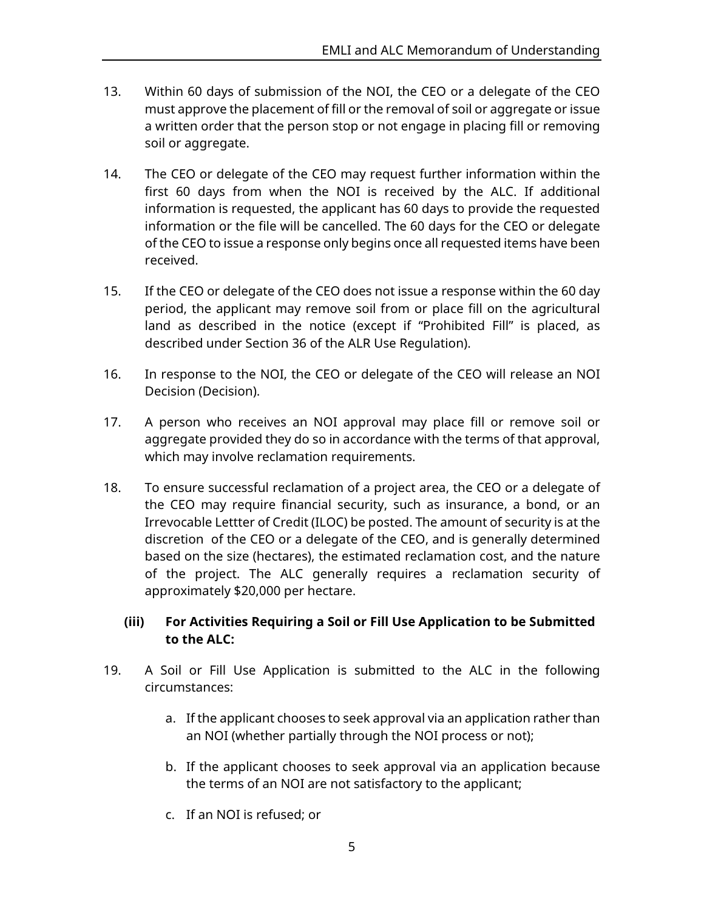- 13. Within 60 days of submission of the NOI, the CEO or a delegate of the CEO must approve the placement of fill or the removal of soil or aggregate or issue a written order that the person stop or not engage in placing fill or removing soil or aggregate.
- 14. The CEO or delegate of the CEO may request further information within the first 60 days from when the NOI is received by the ALC. If additional information is requested, the applicant has 60 days to provide the requested information or the file will be cancelled. The 60 days for the CEO or delegate of the CEO to issue a response only begins once all requested items have been received.
- 15. If the CEO or delegate of the CEO does not issue a response within the 60 day period, the applicant may remove soil from or place fill on the agricultural land as described in the notice (except if "Prohibited Fill" is placed, as described under Section 36 of the ALR Use Regulation).
- 16. In response to the NOI, the CEO or delegate of the CEO will release an NOI Decision (Decision).
- 17. A person who receives an NOI approval may place fill or remove soil or aggregate provided they do so in accordance with the terms of that approval, which may involve reclamation requirements.
- 18. To ensure successful reclamation of a project area, the CEO or a delegate of the CEO may require financial security, such as insurance, a bond, or an Irrevocable Lettter of Credit (ILOC) be posted. The amount of security is at the discretion of the CEO or a delegate of the CEO, and is generally determined based on the size (hectares), the estimated reclamation cost, and the nature of the project. The ALC generally requires a reclamation security of approximately \$20,000 per hectare.

### **(iii) For Activities Requiring a Soil or Fill Use Application to be Submitted to the ALC:**

- 19. A Soil or Fill Use Application is submitted to the ALC in the following circumstances:
	- a. If the applicant chooses to seek approval via an application rather than an NOI (whether partially through the NOI process or not);
	- b. If the applicant chooses to seek approval via an application because the terms of an NOI are not satisfactory to the applicant;
	- c. If an NOI is refused; or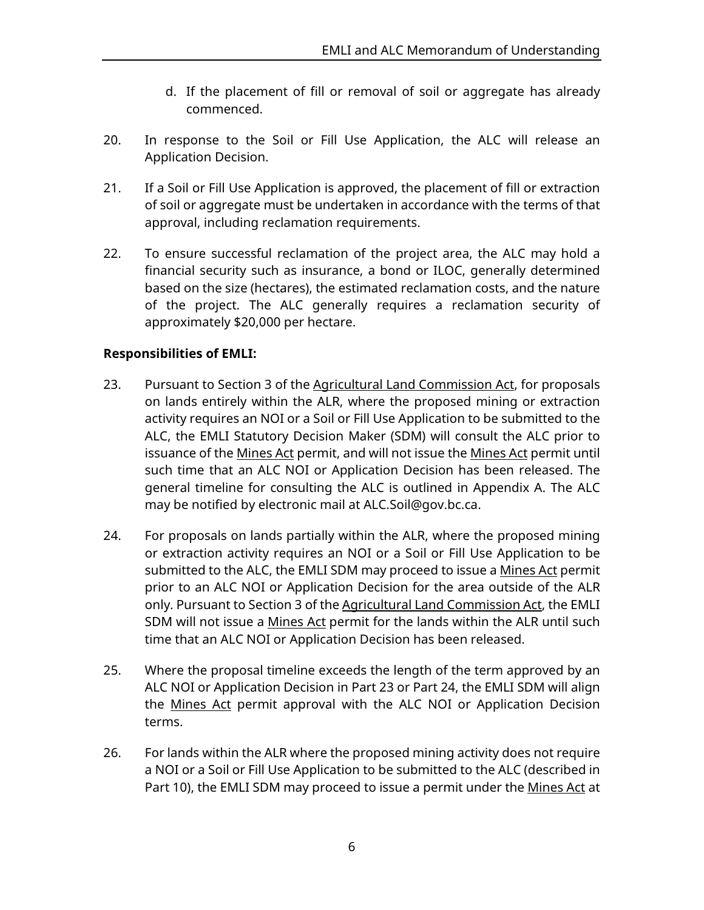- d. If the placement of fill or removal of soil or aggregate has already commenced.
- 20. In response to the Soil or Fill Use Application, the ALC will release an Application Decision.
- 21. If a Soil or Fill Use Application is approved, the placement of fill or extraction of soil or aggregate must be undertaken in accordance with the terms of that approval, including reclamation requirements.
- 22. To ensure successful reclamation of the project area, the ALC may hold a financial security such as insurance, a bond or ILOC, generally determined based on the size (hectares), the estimated reclamation costs, and the nature of the project. The ALC generally requires a reclamation security of approximately \$20,000 per hectare.

### **Responsibilities of EMLI:**

- 23. Pursuant to Section 3 of the Agricultural Land Commission Act, for proposals on lands entirely within the ALR, where the proposed mining or extraction activity requires an NOI or a Soil or Fill Use Application to be submitted to the ALC, the EMLI Statutory Decision Maker (SDM) will consult the ALC prior to issuance of the Mines Act permit, and will not issue the Mines Act permit until such time that an ALC NOI or Application Decision has been released. The general timeline for consulting the ALC is outlined in Appendix A. The ALC may be notified by electronic mail at ALC.Soil@gov.bc.ca.
- 24. For proposals on lands partially within the ALR, where the proposed mining or extraction activity requires an NOI or a Soil or Fill Use Application to be submitted to the ALC, the EMLI SDM may proceed to issue a Mines Act permit prior to an ALC NOI or Application Decision for the area outside of the ALR only. Pursuant to Section 3 of the Agricultural Land Commission Act, the EMLI SDM will not issue a Mines Act permit for the lands within the ALR until such time that an ALC NOI or Application Decision has been released.
- 25. Where the proposal timeline exceeds the length of the term approved by an ALC NOI or Application Decision in Part 23 or Part 24, the EMLI SDM will align the Mines Act permit approval with the ALC NOI or Application Decision terms.
- 26. For lands within the ALR where the proposed mining activity does not require a NOI or a Soil or Fill Use Application to be submitted to the ALC (described in Part 10), the EMLI SDM may proceed to issue a permit under the Mines Act at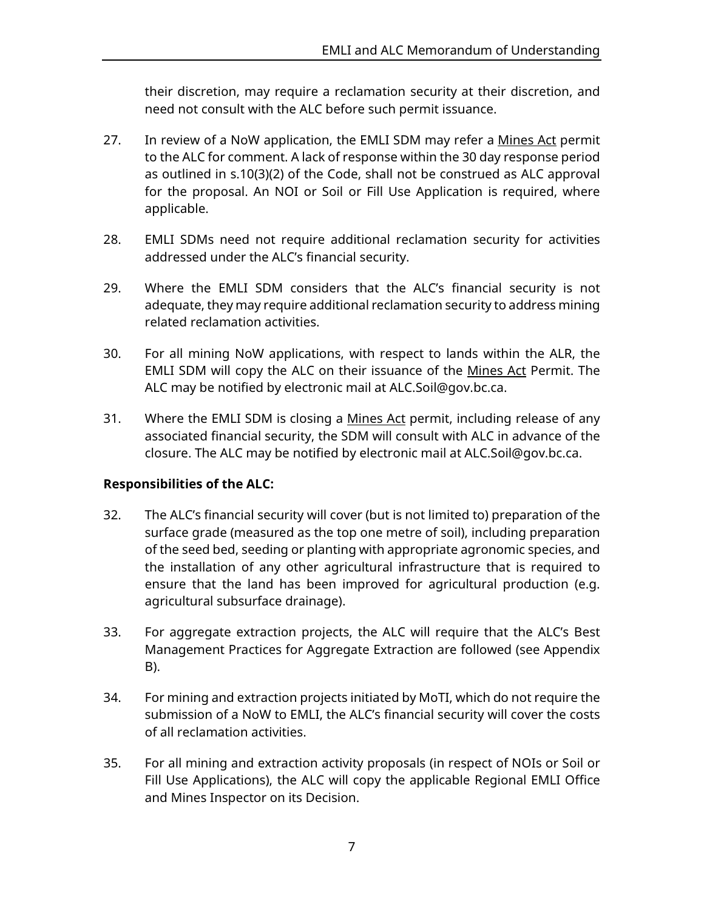their discretion, may require a reclamation security at their discretion, and need not consult with the ALC before such permit issuance.

- 27. In review of a NoW application, the EMLI SDM may refer a Mines Act permit to the ALC for comment. A lack of response within the 30 day response period as outlined in s.10(3)(2) of the Code, shall not be construed as ALC approval for the proposal. An NOI or Soil or Fill Use Application is required, where applicable.
- 28. EMLI SDMs need not require additional reclamation security for activities addressed under the ALC's financial security.
- 29. Where the EMLI SDM considers that the ALC's financial security is not adequate, they may require additional reclamation security to address mining related reclamation activities.
- 30. For all mining NoW applications, with respect to lands within the ALR, the EMLI SDM will copy the ALC on their issuance of the Mines Act Permit. The ALC may be notified by electronic mail at ALC.Soil@gov.bc.ca.
- 31. Where the EMLI SDM is closing a Mines Act permit, including release of any associated financial security, the SDM will consult with ALC in advance of the closure. The ALC may be notified by electronic mail at ALC.Soil@gov.bc.ca.

### **Responsibilities of the ALC:**

- 32. The ALC's financial security will cover (but is not limited to) preparation of the surface grade (measured as the top one metre of soil), including preparation of the seed bed, seeding or planting with appropriate agronomic species, and the installation of any other agricultural infrastructure that is required to ensure that the land has been improved for agricultural production (e.g. agricultural subsurface drainage).
- 33. For aggregate extraction projects, the ALC will require that the ALC's Best Management Practices for Aggregate Extraction are followed (see Appendix B).
- 34. For mining and extraction projects initiated by MoTI, which do not require the submission of a NoW to EMLI, the ALC's financial security will cover the costs of all reclamation activities.
- 35. For all mining and extraction activity proposals (in respect of NOIs or Soil or Fill Use Applications), the ALC will copy the applicable Regional EMLI Office and Mines Inspector on its Decision.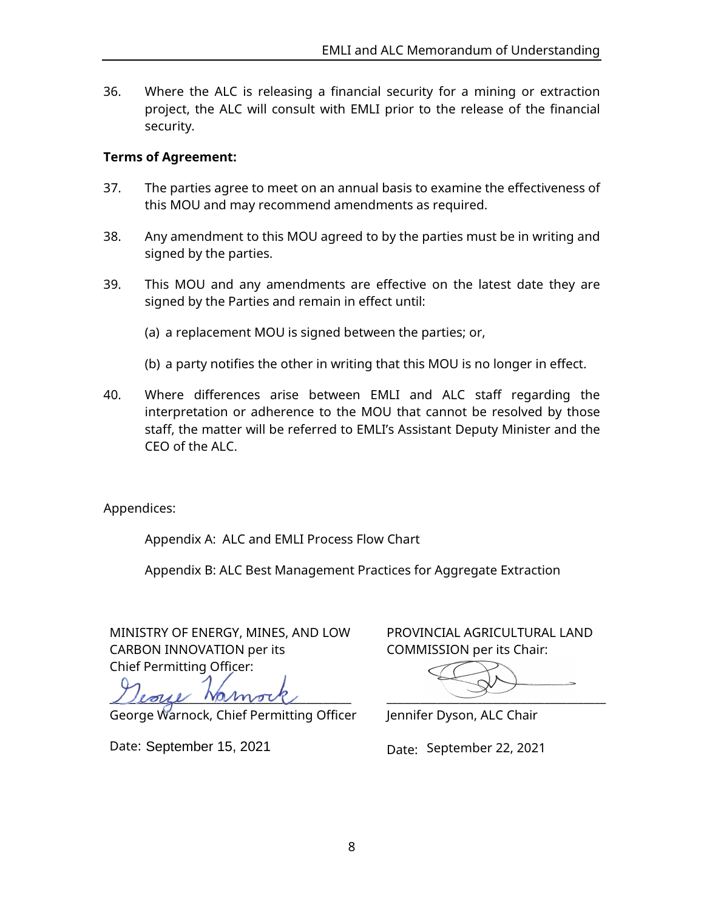36. Where the ALC is releasing a financial security for a mining or extraction project, the ALC will consult with EMLI prior to the release of the financial security.

### **Terms of Agreement:**

- 37. The parties agree to meet on an annual basis to examine the effectiveness of this MOU and may recommend amendments as required.
- 38. Any amendment to this MOU agreed to by the parties must be in writing and signed by the parties.
- 39. This MOU and any amendments are effective on the latest date they are signed by the Parties and remain in effect until:
	- (a) a replacement MOU is signed between the parties; or,
	- (b) a party notifies the other in writing that this MOU is no longer in effect.
- 40. Where differences arise between EMLI and ALC staff regarding the interpretation or adherence to the MOU that cannot be resolved by those staff, the matter will be referred to EMLI's Assistant Deputy Minister and the  $CFO$  of the ALC.

Appendices:

Appendix A: ALC and EMLI Process Flow Chart

Appendix B: ALC Best Management Practices for Aggregate Extraction

MINISTRY OF ENERGY, MINES, AND LOW CARBON INNOVATION per its Chief Permitting Officer:

 $L$ eoyl Namov $\ell$ 

George Warnock, Chief Permitting Officer

Date: September 15, 2021

PROVINCIAL AGRICULTURAL LAND COMMISSION per its Chair:

\_\_\_\_\_\_\_\_\_\_\_\_\_\_\_\_\_\_\_\_\_\_\_\_\_\_\_\_\_\_\_\_\_\_\_\_\_\_\_

Jennifer Dyson, ALC Chair

Date: September 22, 2021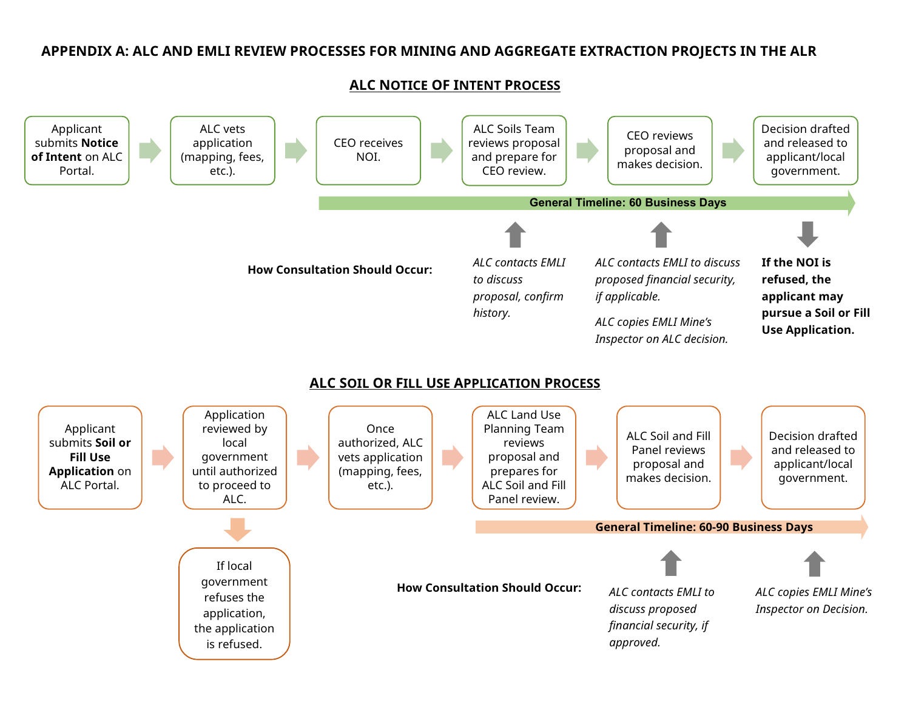### **APPENDIX A: ALC AND EMLI REVIEW PROCESSES FOR MINING AND AGGREGATE EXTRACTION PROJECTS IN THE ALR**

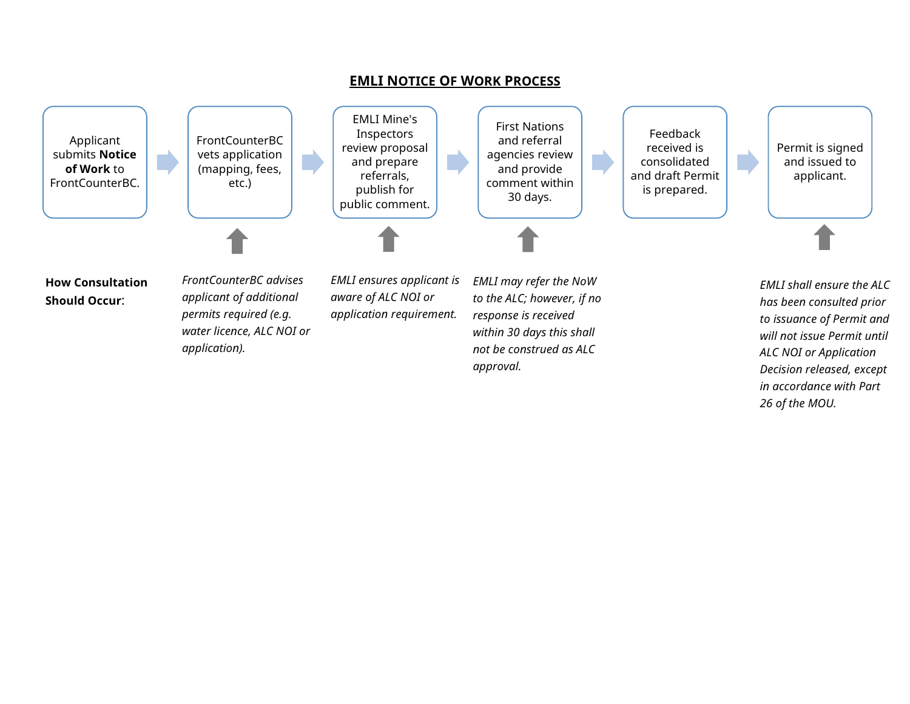

*Decision released, except in accordance with Part* 

*26 of the MOU.*

**EMLI NOTICE OF WORK PROCESS**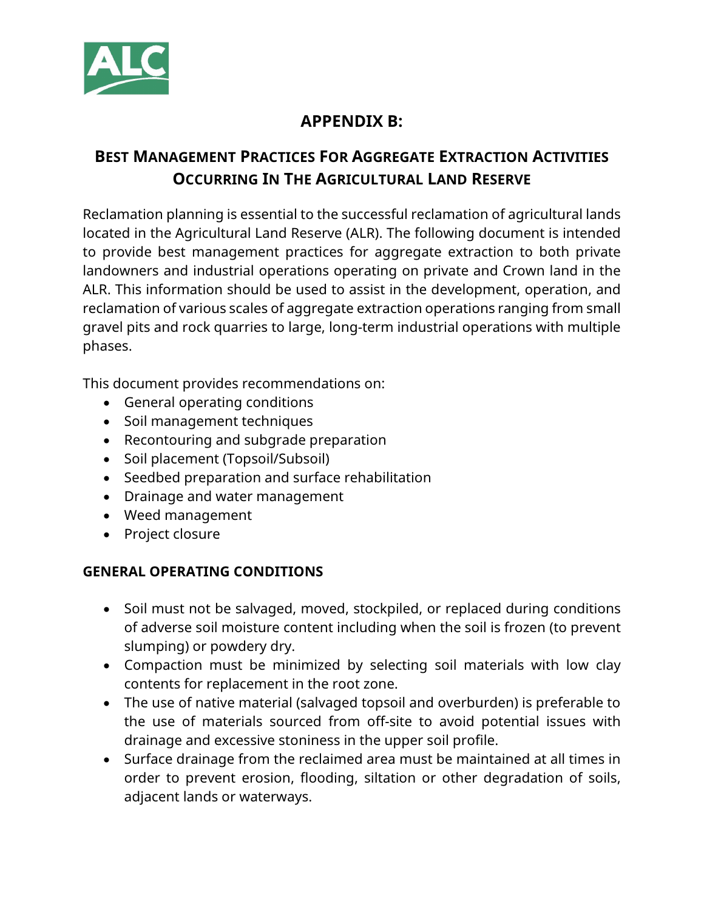

# **APPENDIX B:**

# **BEST MANAGEMENT PRACTICES FOR AGGREGATE EXTRACTION ACTIVITIES OCCURRING IN THE AGRICULTURAL LAND RESERVE**

Reclamation planning is essential to the successful reclamation of agricultural lands located in the Agricultural Land Reserve (ALR). The following document is intended to provide best management practices for aggregate extraction to both private landowners and industrial operations operating on private and Crown land in the ALR. This information should be used to assist in the development, operation, and reclamation of various scales of aggregate extraction operations ranging from small gravel pits and rock quarries to large, long-term industrial operations with multiple phases.

This document provides recommendations on:

- General operating conditions
- Soil management techniques
- Recontouring and subgrade preparation
- Soil placement (Topsoil/Subsoil)
- Seedbed preparation and surface rehabilitation
- Drainage and water management
- Weed management
- Project closure

## **GENERAL OPERATING CONDITIONS**

- Soil must not be salvaged, moved, stockpiled, or replaced during conditions of adverse soil moisture content including when the soil is frozen (to prevent slumping) or powdery dry.
- Compaction must be minimized by selecting soil materials with low clay contents for replacement in the root zone.
- The use of native material (salvaged topsoil and overburden) is preferable to the use of materials sourced from off-site to avoid potential issues with drainage and excessive stoniness in the upper soil profile.
- Surface drainage from the reclaimed area must be maintained at all times in order to prevent erosion, flooding, siltation or other degradation of soils, adjacent lands or waterways.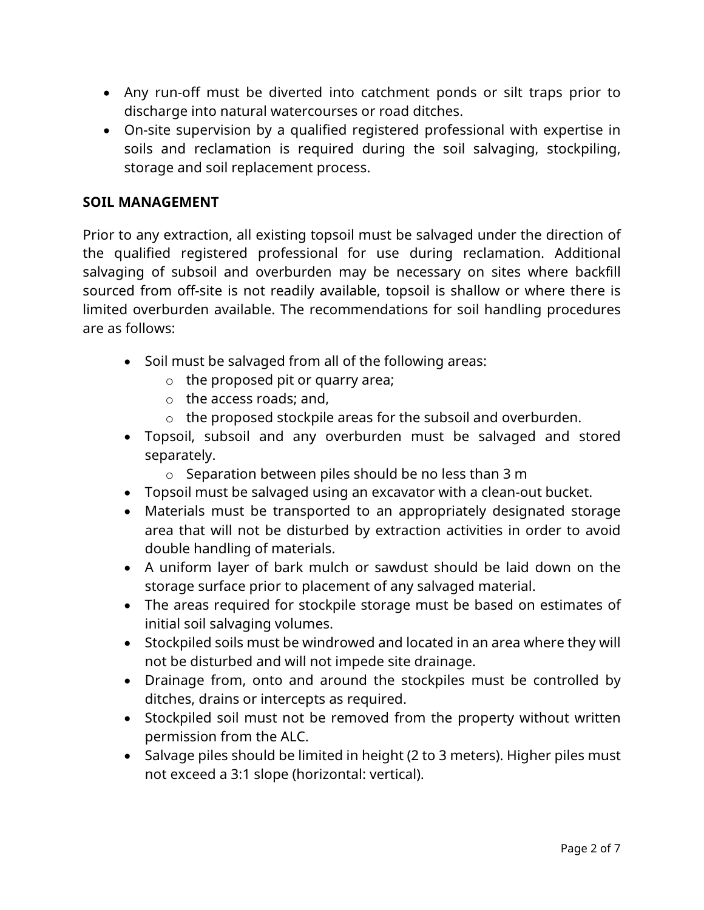- Any run-off must be diverted into catchment ponds or silt traps prior to discharge into natural watercourses or road ditches.
- On-site supervision by a qualified registered professional with expertise in soils and reclamation is required during the soil salvaging, stockpiling, storage and soil replacement process.

## **SOIL MANAGEMENT**

Prior to any extraction, all existing topsoil must be salvaged under the direction of the qualified registered professional for use during reclamation. Additional salvaging of subsoil and overburden may be necessary on sites where backfill sourced from off-site is not readily available, topsoil is shallow or where there is limited overburden available. The recommendations for soil handling procedures are as follows:

- Soil must be salvaged from all of the following areas:
	- $\circ$  the proposed pit or quarry area;
	- o the access roads; and,
	- o the proposed stockpile areas for the subsoil and overburden.
- Topsoil, subsoil and any overburden must be salvaged and stored separately.
	- o Separation between piles should be no less than 3 m
- Topsoil must be salvaged using an excavator with a clean-out bucket.
- Materials must be transported to an appropriately designated storage area that will not be disturbed by extraction activities in order to avoid double handling of materials.
- A uniform layer of bark mulch or sawdust should be laid down on the storage surface prior to placement of any salvaged material.
- The areas required for stockpile storage must be based on estimates of initial soil salvaging volumes.
- Stockpiled soils must be windrowed and located in an area where they will not be disturbed and will not impede site drainage.
- Drainage from, onto and around the stockpiles must be controlled by ditches, drains or intercepts as required.
- Stockpiled soil must not be removed from the property without written permission from the ALC.
- Salvage piles should be limited in height (2 to 3 meters). Higher piles must not exceed a 3:1 slope (horizontal: vertical).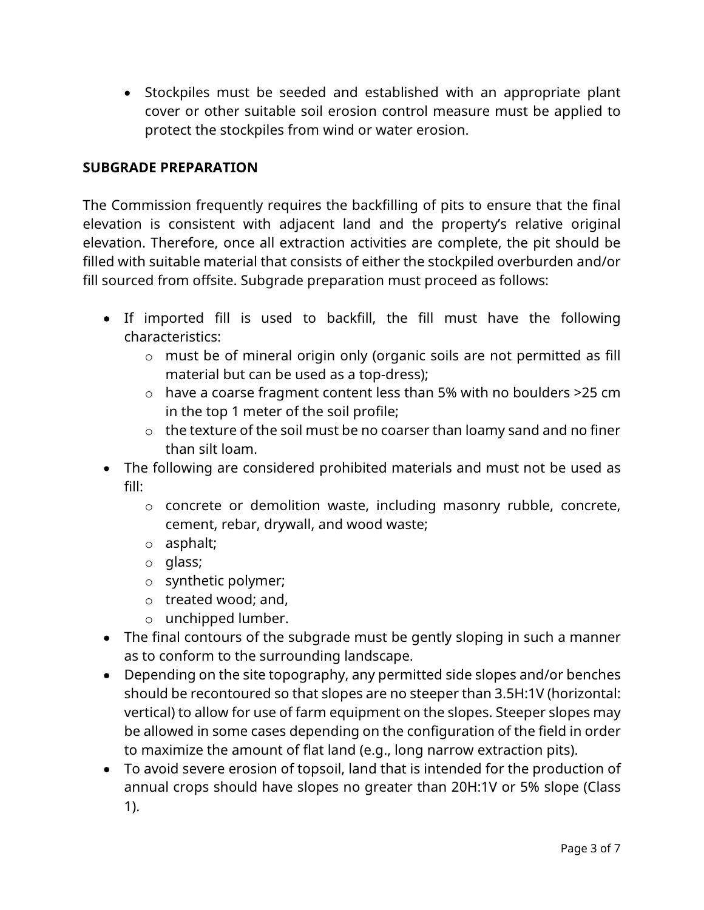• Stockpiles must be seeded and established with an appropriate plant cover or other suitable soil erosion control measure must be applied to protect the stockpiles from wind or water erosion.

## **SUBGRADE PREPARATION**

The Commission frequently requires the backfilling of pits to ensure that the final elevation is consistent with adjacent land and the property's relative original elevation. Therefore, once all extraction activities are complete, the pit should be filled with suitable material that consists of either the stockpiled overburden and/or fill sourced from offsite. Subgrade preparation must proceed as follows:

- If imported fill is used to backfill, the fill must have the following characteristics:
	- o must be of mineral origin only (organic soils are not permitted as fill material but can be used as a top-dress);
	- o have a coarse fragment content less than 5% with no boulders >25 cm in the top 1 meter of the soil profile;
	- o the texture of the soil must be no coarser than loamy sand and no finer than silt loam.
- The following are considered prohibited materials and must not be used as fill:
	- o concrete or demolition waste, including masonry rubble, concrete, cement, rebar, drywall, and wood waste;
	- o asphalt;
	- o glass;
	- o synthetic polymer;
	- o treated wood; and,
	- o unchipped lumber.
- The final contours of the subgrade must be gently sloping in such a manner as to conform to the surrounding landscape.
- Depending on the site topography, any permitted side slopes and/or benches should be recontoured so that slopes are no steeper than 3.5H:1V (horizontal: vertical) to allow for use of farm equipment on the slopes. Steeper slopes may be allowed in some cases depending on the configuration of the field in order to maximize the amount of flat land (e.g., long narrow extraction pits).
- To avoid severe erosion of topsoil, land that is intended for the production of annual crops should have slopes no greater than 20H:1V or 5% slope (Class 1).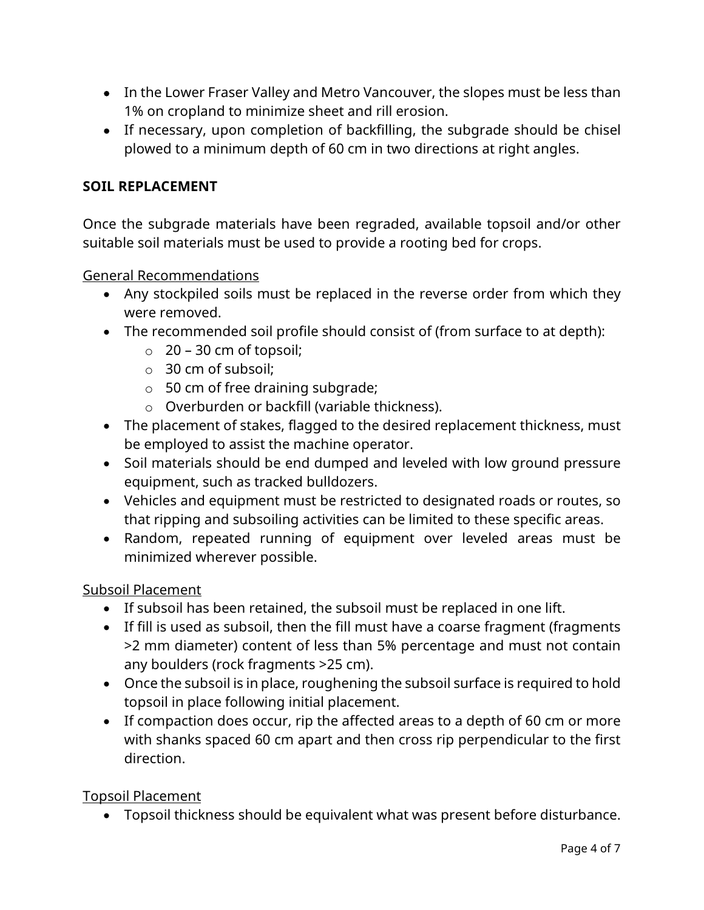- In the Lower Fraser Valley and Metro Vancouver, the slopes must be less than 1% on cropland to minimize sheet and rill erosion.
- If necessary, upon completion of backfilling, the subgrade should be chisel plowed to a minimum depth of 60 cm in two directions at right angles.

## **SOIL REPLACEMENT**

Once the subgrade materials have been regraded, available topsoil and/or other suitable soil materials must be used to provide a rooting bed for crops.

General Recommendations

- Any stockpiled soils must be replaced in the reverse order from which they were removed.
- The recommended soil profile should consist of (from surface to at depth):
	- $\circ$  20 30 cm of topsoil;
	- o 30 cm of subsoil;
	- o 50 cm of free draining subgrade;
	- o Overburden or backfill (variable thickness).
- The placement of stakes, flagged to the desired replacement thickness, must be employed to assist the machine operator.
- Soil materials should be end dumped and leveled with low ground pressure equipment, such as tracked bulldozers.
- Vehicles and equipment must be restricted to designated roads or routes, so that ripping and subsoiling activities can be limited to these specific areas.
- Random, repeated running of equipment over leveled areas must be minimized wherever possible.

#### Subsoil Placement

- If subsoil has been retained, the subsoil must be replaced in one lift.
- If fill is used as subsoil, then the fill must have a coarse fragment (fragments >2 mm diameter) content of less than 5% percentage and must not contain any boulders (rock fragments >25 cm).
- Once the subsoil is in place, roughening the subsoil surface is required to hold topsoil in place following initial placement.
- If compaction does occur, rip the affected areas to a depth of 60 cm or more with shanks spaced 60 cm apart and then cross rip perpendicular to the first direction.

Topsoil Placement

• Topsoil thickness should be equivalent what was present before disturbance.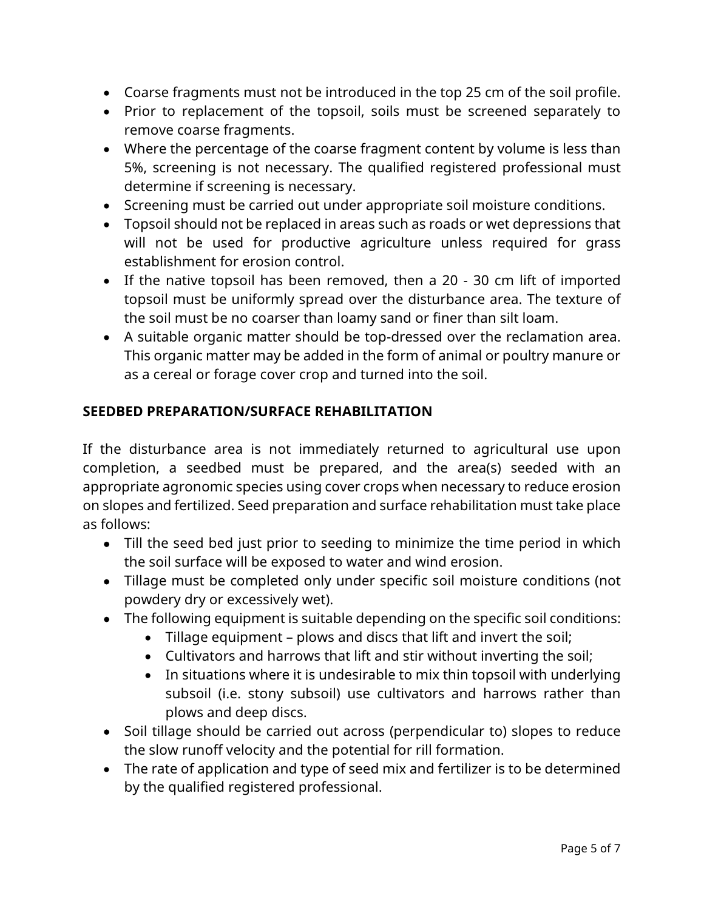- Coarse fragments must not be introduced in the top 25 cm of the soil profile.
- Prior to replacement of the topsoil, soils must be screened separately to remove coarse fragments.
- Where the percentage of the coarse fragment content by volume is less than 5%, screening is not necessary. The qualified registered professional must determine if screening is necessary.
- Screening must be carried out under appropriate soil moisture conditions.
- Topsoil should not be replaced in areas such as roads or wet depressions that will not be used for productive agriculture unless required for grass establishment for erosion control.
- If the native topsoil has been removed, then a 20 30 cm lift of imported topsoil must be uniformly spread over the disturbance area. The texture of the soil must be no coarser than loamy sand or finer than silt loam.
- A suitable organic matter should be top-dressed over the reclamation area. This organic matter may be added in the form of animal or poultry manure or as a cereal or forage cover crop and turned into the soil.

## **SEEDBED PREPARATION/SURFACE REHABILITATION**

If the disturbance area is not immediately returned to agricultural use upon completion, a seedbed must be prepared, and the area(s) seeded with an appropriate agronomic species using cover crops when necessary to reduce erosion on slopes and fertilized. Seed preparation and surface rehabilitation must take place as follows:

- Till the seed bed just prior to seeding to minimize the time period in which the soil surface will be exposed to water and wind erosion.
- Tillage must be completed only under specific soil moisture conditions (not powdery dry or excessively wet).
- The following equipment is suitable depending on the specific soil conditions:
	- Tillage equipment plows and discs that lift and invert the soil;
	- Cultivators and harrows that lift and stir without inverting the soil;
	- In situations where it is undesirable to mix thin topsoil with underlying subsoil (i.e. stony subsoil) use cultivators and harrows rather than plows and deep discs.
- Soil tillage should be carried out across (perpendicular to) slopes to reduce the slow runoff velocity and the potential for rill formation.
- The rate of application and type of seed mix and fertilizer is to be determined by the qualified registered professional.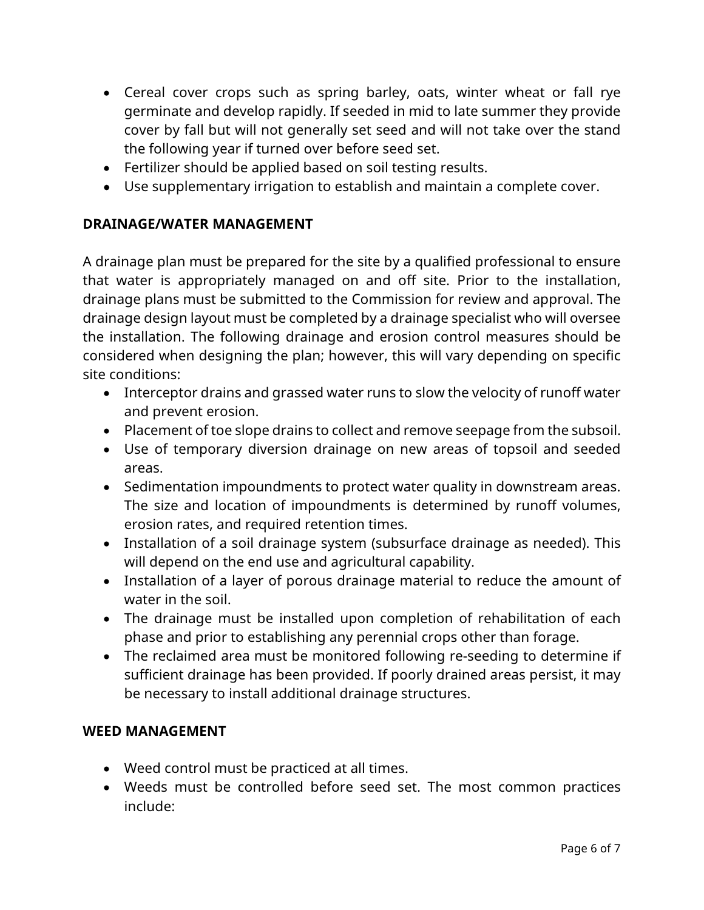- Cereal cover crops such as spring barley, oats, winter wheat or fall rye germinate and develop rapidly. If seeded in mid to late summer they provide cover by fall but will not generally set seed and will not take over the stand the following year if turned over before seed set.
- Fertilizer should be applied based on soil testing results.
- Use supplementary irrigation to establish and maintain a complete cover.

### **DRAINAGE/WATER MANAGEMENT**

A drainage plan must be prepared for the site by a qualified professional to ensure that water is appropriately managed on and off site. Prior to the installation, drainage plans must be submitted to the Commission for review and approval. The drainage design layout must be completed by a drainage specialist who will oversee the installation. The following drainage and erosion control measures should be considered when designing the plan; however, this will vary depending on specific site conditions:

- Interceptor drains and grassed water runs to slow the velocity of runoff water and prevent erosion.
- Placement of toe slope drains to collect and remove seepage from the subsoil.
- Use of temporary diversion drainage on new areas of topsoil and seeded areas.
- Sedimentation impoundments to protect water quality in downstream areas. The size and location of impoundments is determined by runoff volumes, erosion rates, and required retention times.
- Installation of a soil drainage system (subsurface drainage as needed). This will depend on the end use and agricultural capability.
- Installation of a layer of porous drainage material to reduce the amount of water in the soil.
- The drainage must be installed upon completion of rehabilitation of each phase and prior to establishing any perennial crops other than forage.
- The reclaimed area must be monitored following re-seeding to determine if sufficient drainage has been provided. If poorly drained areas persist, it may be necessary to install additional drainage structures.

#### **WEED MANAGEMENT**

- Weed control must be practiced at all times.
- Weeds must be controlled before seed set. The most common practices include: